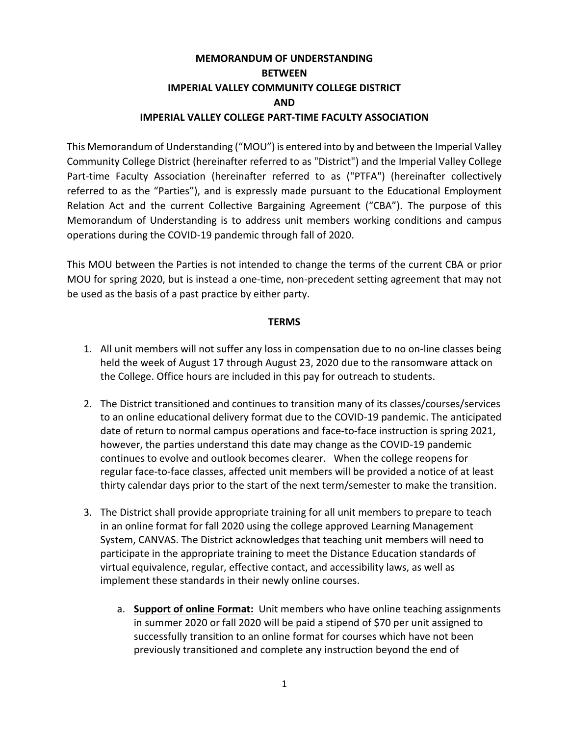### **MEMORANDUM OF UNDERSTANDING BETWEEN IMPERIAL VALLEY COMMUNITY COLLEGE DISTRICT AND IMPERIAL VALLEY COLLEGE PART-TIME FACULTY ASSOCIATION**

This Memorandum of Understanding ("MOU") is entered into by and between the Imperial Valley Community College District (hereinafter referred to as "District") and the Imperial Valley College Part-time Faculty Association (hereinafter referred to as ("PTFA") (hereinafter collectively referred to as the "Parties"), and is expressly made pursuant to the Educational Employment Relation Act and the current Collective Bargaining Agreement ("CBA"). The purpose of this Memorandum of Understanding is to address unit members working conditions and campus operations during the COVID-19 pandemic through fall of 2020.

This MOU between the Parties is not intended to change the terms of the current CBA or prior MOU for spring 2020, but is instead a one-time, non-precedent setting agreement that may not be used as the basis of a past practice by either party.

#### **TERMS**

- 1. All unit members will not suffer any loss in compensation due to no on-line classes being held the week of August 17 through August 23, 2020 due to the ransomware attack on the College. Office hours are included in this pay for outreach to students.
- 2. The District transitioned and continues to transition many of its classes/courses/services to an online educational delivery format due to the COVID-19 pandemic. The anticipated date of return to normal campus operations and face-to-face instruction is spring 2021, however, the parties understand this date may change as the COVID-19 pandemic continues to evolve and outlook becomes clearer. When the college reopens for regular face-to-face classes, affected unit members will be provided a notice of at least thirty calendar days prior to the start of the next term/semester to make the transition.
- 3. The District shall provide appropriate training for all unit members to prepare to teach in an online format for fall 2020 using the college approved Learning Management System, CANVAS. The District acknowledges that teaching unit members will need to participate in the appropriate training to meet the Distance Education standards of virtual equivalence, regular, effective contact, and accessibility laws, as well as implement these standards in their newly online courses.
	- a. **Support of online Format:** Unit members who have online teaching assignments in summer 2020 or fall 2020 will be paid a stipend of \$70 per unit assigned to successfully transition to an online format for courses which have not been previously transitioned and complete any instruction beyond the end of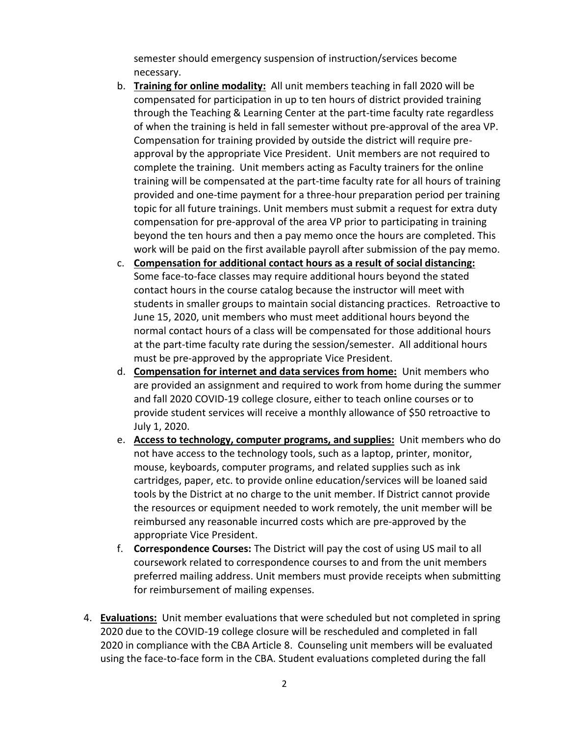semester should emergency suspension of instruction/services become necessary.

- b. **Training for online modality:** All unit members teaching in fall 2020 will be compensated for participation in up to ten hours of district provided training through the Teaching & Learning Center at the part-time faculty rate regardless of when the training is held in fall semester without pre-approval of the area VP. Compensation for training provided by outside the district will require preapproval by the appropriate Vice President. Unit members are not required to complete the training. Unit members acting as Faculty trainers for the online training will be compensated at the part-time faculty rate for all hours of training provided and one-time payment for a three-hour preparation period per training topic for all future trainings. Unit members must submit a request for extra duty compensation for pre-approval of the area VP prior to participating in training beyond the ten hours and then a pay memo once the hours are completed. This work will be paid on the first available payroll after submission of the pay memo.
- c. **Compensation for additional contact hours as a result of social distancing:** Some face-to-face classes may require additional hours beyond the stated contact hours in the course catalog because the instructor will meet with students in smaller groups to maintain social distancing practices. Retroactive to June 15, 2020, unit members who must meet additional hours beyond the normal contact hours of a class will be compensated for those additional hours at the part-time faculty rate during the session/semester. All additional hours must be pre-approved by the appropriate Vice President.
- d. **Compensation for internet and data services from home:** Unit members who are provided an assignment and required to work from home during the summer and fall 2020 COVID-19 college closure, either to teach online courses or to provide student services will receive a monthly allowance of \$50 retroactive to July 1, 2020.
- e. **Access to technology, computer programs, and supplies:** Unit members who do not have access to the technology tools, such as a laptop, printer, monitor, mouse, keyboards, computer programs, and related supplies such as ink cartridges, paper, etc. to provide online education/services will be loaned said tools by the District at no charge to the unit member. If District cannot provide the resources or equipment needed to work remotely, the unit member will be reimbursed any reasonable incurred costs which are pre-approved by the appropriate Vice President.
- f. **Correspondence Courses:** The District will pay the cost of using US mail to all coursework related to correspondence courses to and from the unit members preferred mailing address. Unit members must provide receipts when submitting for reimbursement of mailing expenses.
- 4. **Evaluations:** Unit member evaluations that were scheduled but not completed in spring 2020 due to the COVID-19 college closure will be rescheduled and completed in fall 2020 in compliance with the CBA Article 8. Counseling unit members will be evaluated using the face-to-face form in the CBA. Student evaluations completed during the fall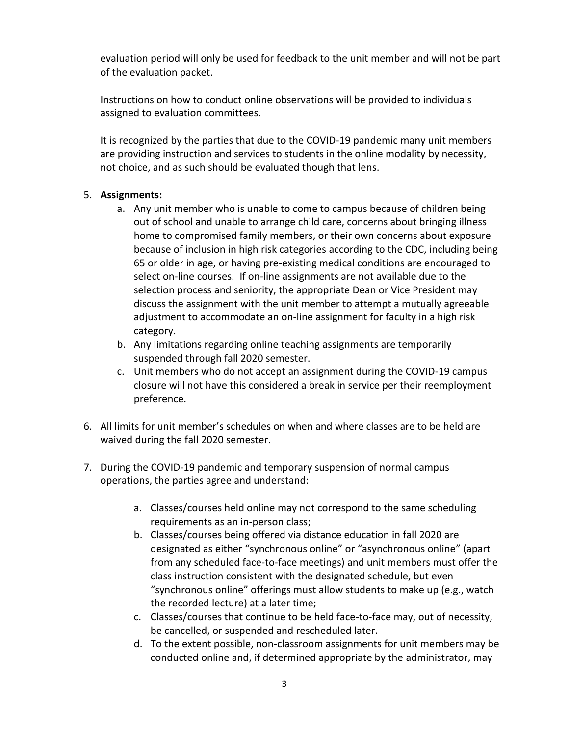evaluation period will only be used for feedback to the unit member and will not be part of the evaluation packet.

Instructions on how to conduct online observations will be provided to individuals assigned to evaluation committees.

It is recognized by the parties that due to the COVID-19 pandemic many unit members are providing instruction and services to students in the online modality by necessity, not choice, and as such should be evaluated though that lens.

#### 5. **Assignments:**

- a. Any unit member who is unable to come to campus because of children being out of school and unable to arrange child care, concerns about bringing illness home to compromised family members, or their own concerns about exposure because of inclusion in high risk categories according to the CDC, including being 65 or older in age, or having pre-existing medical conditions are encouraged to select on-line courses. If on-line assignments are not available due to the selection process and seniority, the appropriate Dean or Vice President may discuss the assignment with the unit member to attempt a mutually agreeable adjustment to accommodate an on-line assignment for faculty in a high risk category.
- b. Any limitations regarding online teaching assignments are temporarily suspended through fall 2020 semester.
- c. Unit members who do not accept an assignment during the COVID-19 campus closure will not have this considered a break in service per their reemployment preference.
- 6. All limits for unit member's schedules on when and where classes are to be held are waived during the fall 2020 semester.
- 7. During the COVID-19 pandemic and temporary suspension of normal campus operations, the parties agree and understand:
	- a. Classes/courses held online may not correspond to the same scheduling requirements as an in-person class;
	- b. Classes/courses being offered via distance education in fall 2020 are designated as either "synchronous online" or "asynchronous online" (apart from any scheduled face-to-face meetings) and unit members must offer the class instruction consistent with the designated schedule, but even "synchronous online" offerings must allow students to make up (e.g., watch the recorded lecture) at a later time;
	- c. Classes/courses that continue to be held face-to-face may, out of necessity, be cancelled, or suspended and rescheduled later.
	- d. To the extent possible, non-classroom assignments for unit members may be conducted online and, if determined appropriate by the administrator, may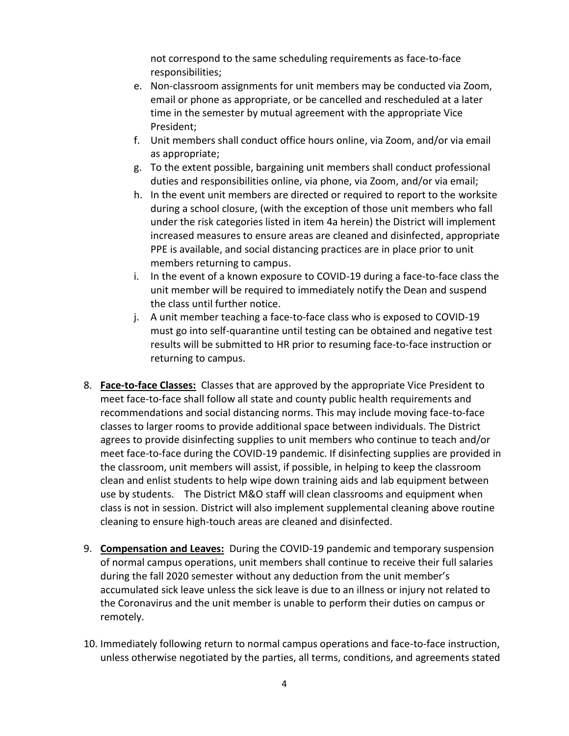not correspond to the same scheduling requirements as face-to-face responsibilities;

- e. Non-classroom assignments for unit members may be conducted via Zoom, email or phone as appropriate, or be cancelled and rescheduled at a later time in the semester by mutual agreement with the appropriate Vice President;
- f. Unit members shall conduct office hours online, via Zoom, and/or via email as appropriate;
- g. To the extent possible, bargaining unit members shall conduct professional duties and responsibilities online, via phone, via Zoom, and/or via email;
- h. In the event unit members are directed or required to report to the worksite during a school closure, (with the exception of those unit members who fall under the risk categories listed in item 4a herein) the District will implement increased measures to ensure areas are cleaned and disinfected, appropriate PPE is available, and social distancing practices are in place prior to unit members returning to campus.
- i. In the event of a known exposure to COVID-19 during a face-to-face class the unit member will be required to immediately notify the Dean and suspend the class until further notice.
- j. A unit member teaching a face-to-face class who is exposed to COVID-19 must go into self-quarantine until testing can be obtained and negative test results will be submitted to HR prior to resuming face-to-face instruction or returning to campus.
- 8. **Face-to-face Classes:** Classes that are approved by the appropriate Vice President to meet face-to-face shall follow all state and county public health requirements and recommendations and social distancing norms. This may include moving face-to-face classes to larger rooms to provide additional space between individuals. The District agrees to provide disinfecting supplies to unit members who continue to teach and/or meet face-to-face during the COVID-19 pandemic. If disinfecting supplies are provided in the classroom, unit members will assist, if possible, in helping to keep the classroom clean and enlist students to help wipe down training aids and lab equipment between use by students. The District M&O staff will clean classrooms and equipment when class is not in session. District will also implement supplemental cleaning above routine cleaning to ensure high-touch areas are cleaned and disinfected.
- 9. **Compensation and Leaves:** During the COVID-19 pandemic and temporary suspension of normal campus operations, unit members shall continue to receive their full salaries during the fall 2020 semester without any deduction from the unit member's accumulated sick leave unless the sick leave is due to an illness or injury not related to the Coronavirus and the unit member is unable to perform their duties on campus or remotely.
- 10. Immediately following return to normal campus operations and face-to-face instruction, unless otherwise negotiated by the parties, all terms, conditions, and agreements stated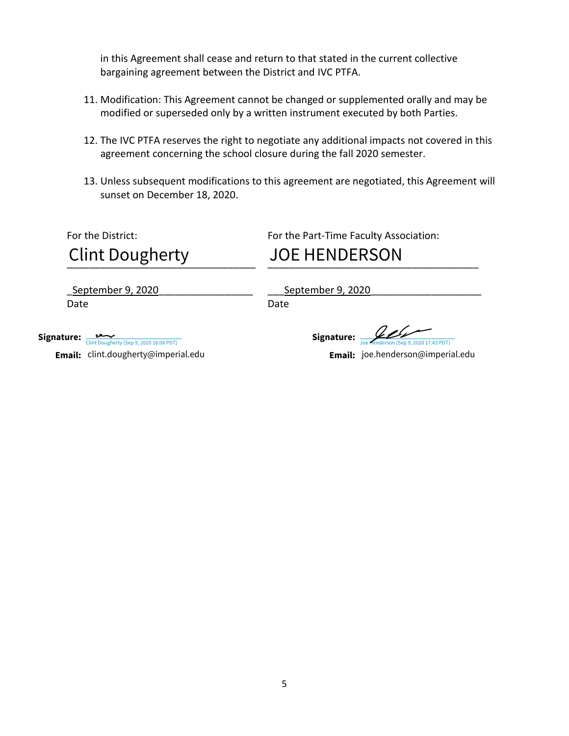in this Agreement shall cease and return to that stated in the current collective bargaining agreement between the District and IVC PTFA.

- 11. Modification: This Agreement cannot be changed or supplemented orally and may be modified or superseded only by a written instrument executed by both Parties.
- 12. The IVC PTFA reserves the right to negotiate any additional impacts not covered in this agreement concerning the school closure during the fall 2020 semester.
- 13. Unless subsequent modifications to this agreement are negotiated, this Agreement will sunset on December 18, 2020.

For the District: For the Part-Time Faculty Association:

\_\_\_\_\_\_\_\_\_\_\_\_\_\_\_\_\_\_\_\_\_\_\_\_\_\_\_\_\_\_\_\_\_\_ \_\_\_\_\_\_\_\_\_\_\_\_\_\_\_\_\_\_\_\_\_\_\_\_\_\_\_\_\_\_\_\_\_\_\_\_\_\_ Clint Dougherty JOE HENDERSON

Date **Date** Date Date

\_September 9, 2020\_\_\_\_\_\_\_\_\_\_\_\_\_\_\_\_\_ \_\_\_September 9, 2020\_\_\_\_\_\_\_\_\_\_\_\_\_\_\_\_\_\_\_\_

Signature: <del>Joe Henderson (Sep 9, 2020 17:43 PDT</del>)

**Email:** joe.henderson@imperial.edu

Signature: [Clint Dougherty \(Sep 9, 2020 16:08 PDT\)](https://imperialedu.na1.documents.adobe.com/verifier?tx=CBJCHBCAABAAWlux0xIN-unrRkdBmaYQ7B8IlZoQDbSj) **Email:** clint.dougherty@imperial.edu